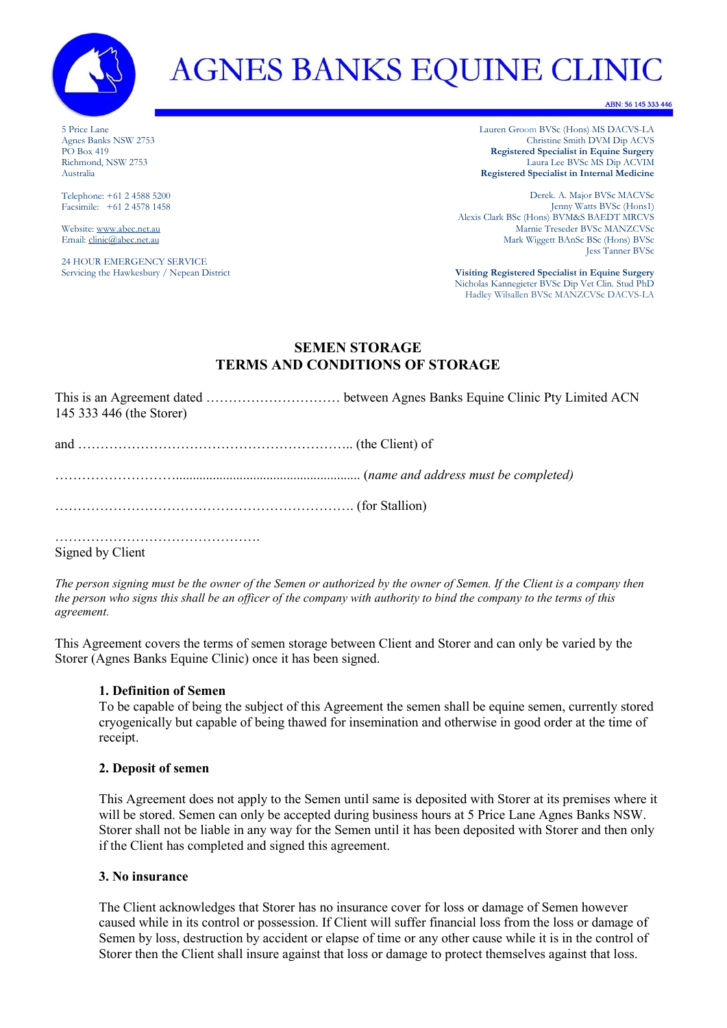

# **AGNES BANKS EQUINE CLINIC**

ABN: 56 145 333 446

5 Price Lane Agnes Banks NSW 2753 PO Box 419 Richmond, NSW 2753 Australia

Telephone: +61 2 4588 5200 Facsimile: +61 2 4578 1458

Website[: www.abec.net.au](http://www.abec.net.au/) Email[: clinic@abec.net.au](mailto:clinic@abec.net.au)

24 HOUR EMERGENCY SERVICE Servicing the Hawkesbury / Nepean District Lauren Groom BVSc (Hons) MS DACVS-LA Christine Smith DVM Dip ACVS **Registered Specialist in Equine Surgery** Laura Lee BVSc MS Dip ACVIM **Registered Specialist in Internal Medicine**

Derek. A. Major BVSc MACVSc Jenny Watts BVSc (Hons1) Alexis Clark BSc (Hons) BVM&S BAEDT MRCVS Marnie Treseder BVSc MANZCVSc Mark Wiggett BAnSc BSc (Hons) BVSc Jess Tanner BVSc

**Visiting Registered Specialist in Equine Surgery** Nicholas Kannegieter BVSc Dip Vet Clin. Stud PhD Hadley Wilsallen BVSc MANZCVSc DACVS-LA

## **SEMEN STORAGE TERMS AND CONDITIONS OF STORAGE**

| 145 333 446 (the Storer) |                                      |
|--------------------------|--------------------------------------|
|                          |                                      |
|                          | (name and address must be completed) |
|                          |                                      |
|                          |                                      |

Signed by Client

*The person signing must be the owner of the Semen or authorized by the owner of Semen. If the Client is a company then the person who signs this shall be an officer of the company with authority to bind the company to the terms of this agreement.*

This Agreement covers the terms of semen storage between Client and Storer and can only be varied by the Storer (Agnes Banks Equine Clinic) once it has been signed.

## **1. Definition of Semen**

To be capable of being the subject of this Agreement the semen shall be equine semen, currently stored cryogenically but capable of being thawed for insemination and otherwise in good order at the time of receipt.

## **2. Deposit of semen**

This Agreement does not apply to the Semen until same is deposited with Storer at its premises where it will be stored. Semen can only be accepted during business hours at 5 Price Lane Agnes Banks NSW. Storer shall not be liable in any way for the Semen until it has been deposited with Storer and then only if the Client has completed and signed this agreement.

## **3. No insurance**

The Client acknowledges that Storer has no insurance cover for loss or damage of Semen however caused while in its control or possession. If Client will suffer financial loss from the loss or damage of Semen by loss, destruction by accident or elapse of time or any other cause while it is in the control of Storer then the Client shall insure against that loss or damage to protect themselves against that loss.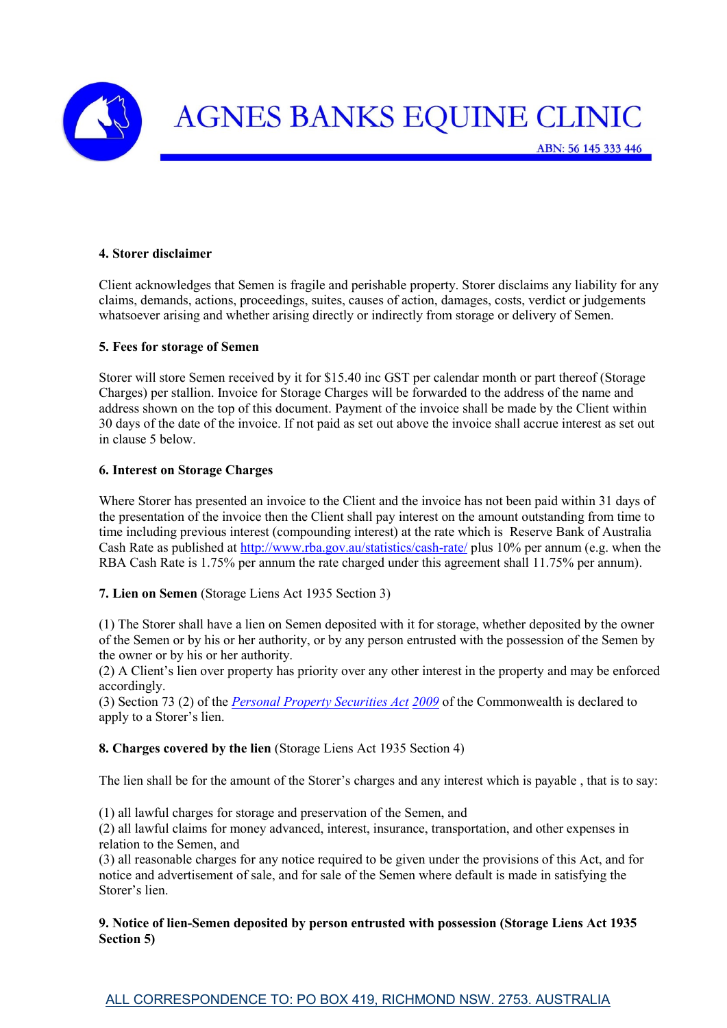

#### **4. Storer disclaimer**

Client acknowledges that Semen is fragile and perishable property. Storer disclaims any liability for any claims, demands, actions, proceedings, suites, causes of action, damages, costs, verdict or judgements whatsoever arising and whether arising directly or indirectly from storage or delivery of Semen.

#### **5. Fees for storage of Semen**

Storer will store Semen received by it for \$15.40 inc GST per calendar month or part thereof (Storage Charges) per stallion. Invoice for Storage Charges will be forwarded to the address of the name and address shown on the top of this document. Payment of the invoice shall be made by the Client within 30 days of the date of the invoice. If not paid as set out above the invoice shall accrue interest as set out in clause 5 below.

#### **6. Interest on Storage Charges**

Where Storer has presented an invoice to the Client and the invoice has not been paid within 31 days of the presentation of the invoice then the Client shall pay interest on the amount outstanding from time to time including previous interest (compounding interest) at the rate which is Reserve Bank of Australia Cash Rate as published at<http://www.rba.gov.au/statistics/cash-rate/> plus 10% per annum (e.g. when the RBA Cash Rate is 1.75% per annum the rate charged under this agreement shall 11.75% per annum).

**7. Lien on Semen** (Storage Liens Act 1935 Section 3)

(1) The Storer shall have a lien on Semen deposited with it for storage, whether deposited by the owner of the Semen or by his or her authority, or by any person entrusted with the possession of the Semen by the owner or by his or her authority.

(2) A Client's lien over property has priority over any other interest in the property and may be enforced accordingly.

(3) Section 73 (2) of the *[Personal Property Securities Act](http://www.austlii.edu.au/au/legis/cth/consol_act/ppsa2009356/) [2009](http://www.austlii.edu.au/au/legis/cth/consol_act/ppsa2009356/)* of the Commonwealth is declared to apply to a Storer's lien.

**8. Charges covered by the lien** (Storage Liens Act 1935 Section 4)

The lien shall be for the amount of the Storer's charges and any interest which is payable , that is to say:

(1) all lawful charges for storage and preservation of the Semen, and

(2) all lawful claims for money advanced, interest, insurance, transportation, and other expenses in relation to the Semen, and

(3) all reasonable charges for any notice required to be given under the provisions of this Act, and for notice and advertisement of sale, and for sale of the Semen where default is made in satisfying the Storer's lien.

#### **9. Notice of lien-Semen deposited by person entrusted with possession (Storage Liens Act 1935 Section 5)**

ALL CORRESPONDENCE TO: PO BOX 419, RICHMOND NSW. 2753. AUSTRALIA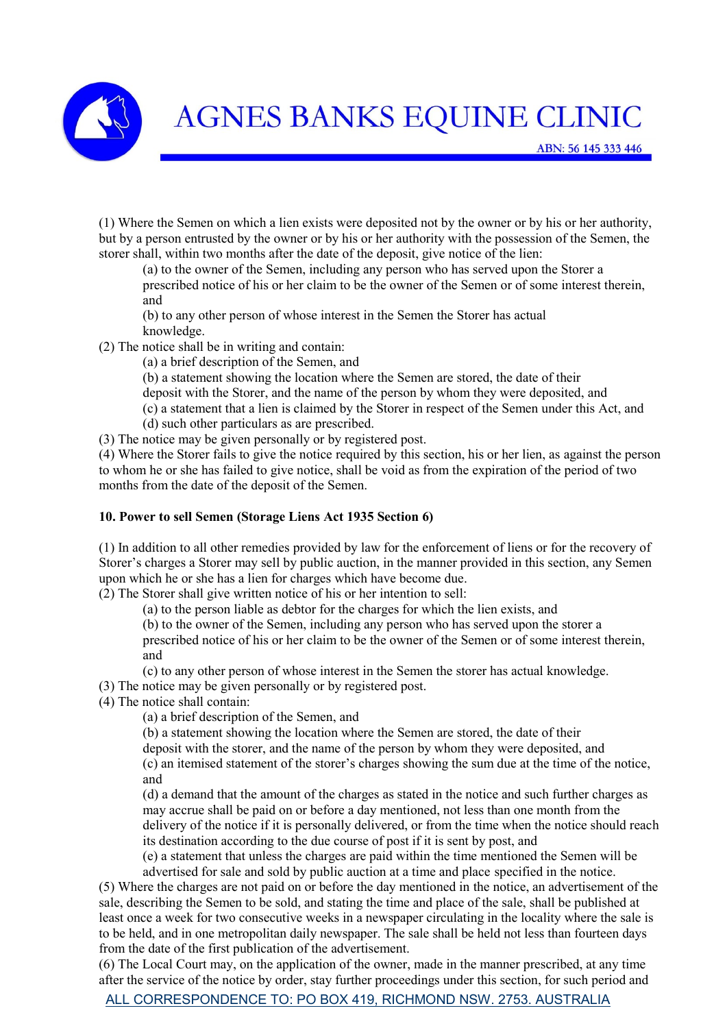

(1) Where the Semen on which a lien exists were deposited not by the owner or by his or her authority, but by a person entrusted by the owner or by his or her authority with the possession of the Semen, the storer shall, within two months after the date of the deposit, give notice of the lien:

(a) to the owner of the Semen, including any person who has served upon the Storer a prescribed notice of his or her claim to be the owner of the Semen or of some interest therein, and

(b) to any other person of whose interest in the Semen the Storer has actual knowledge.

(2) The notice shall be in writing and contain:

(a) a brief description of the Semen, and

(b) a statement showing the location where the Semen are stored, the date of their

deposit with the Storer, and the name of the person by whom they were deposited, and

- (c) a statement that a lien is claimed by the Storer in respect of the Semen under this Act, and
- (d) such other particulars as are prescribed.

(3) The notice may be given personally or by registered post.

(4) Where the Storer fails to give the notice required by this section, his or her lien, as against the person to whom he or she has failed to give notice, shall be void as from the expiration of the period of two months from the date of the deposit of the Semen.

### **10. Power to sell Semen (Storage Liens Act 1935 Section 6)**

(1) In addition to all other remedies provided by law for the enforcement of liens or for the recovery of Storer's charges a Storer may sell by public auction, in the manner provided in this section, any Semen upon which he or she has a lien for charges which have become due.

(2) The Storer shall give written notice of his or her intention to sell:

(a) to the person liable as debtor for the charges for which the lien exists, and

(b) to the owner of the Semen, including any person who has served upon the storer a

prescribed notice of his or her claim to be the owner of the Semen or of some interest therein, and

(c) to any other person of whose interest in the Semen the storer has actual knowledge.

(3) The notice may be given personally or by registered post.

(4) The notice shall contain:

(a) a brief description of the Semen, and

(b) a statement showing the location where the Semen are stored, the date of their

deposit with the storer, and the name of the person by whom they were deposited, and

(c) an itemised statement of the storer's charges showing the sum due at the time of the notice, and

(d) a demand that the amount of the charges as stated in the notice and such further charges as may accrue shall be paid on or before a day mentioned, not less than one month from the delivery of the notice if it is personally delivered, or from the time when the notice should reach its destination according to the due course of post if it is sent by post, and

(e) a statement that unless the charges are paid within the time mentioned the Semen will be advertised for sale and sold by public auction at a time and place specified in the notice.

(5) Where the charges are not paid on or before the day mentioned in the notice, an advertisement of the sale, describing the Semen to be sold, and stating the time and place of the sale, shall be published at least once a week for two consecutive weeks in a newspaper circulating in the locality where the sale is to be held, and in one metropolitan daily newspaper. The sale shall be held not less than fourteen days from the date of the first publication of the advertisement.

(6) The Local Court may, on the application of the owner, made in the manner prescribed, at any time after the service of the notice by order, stay further proceedings under this section, for such period and

ALL CORRESPONDENCE TO: PO BOX 419, RICHMOND NSW. 2753. AUSTRALIA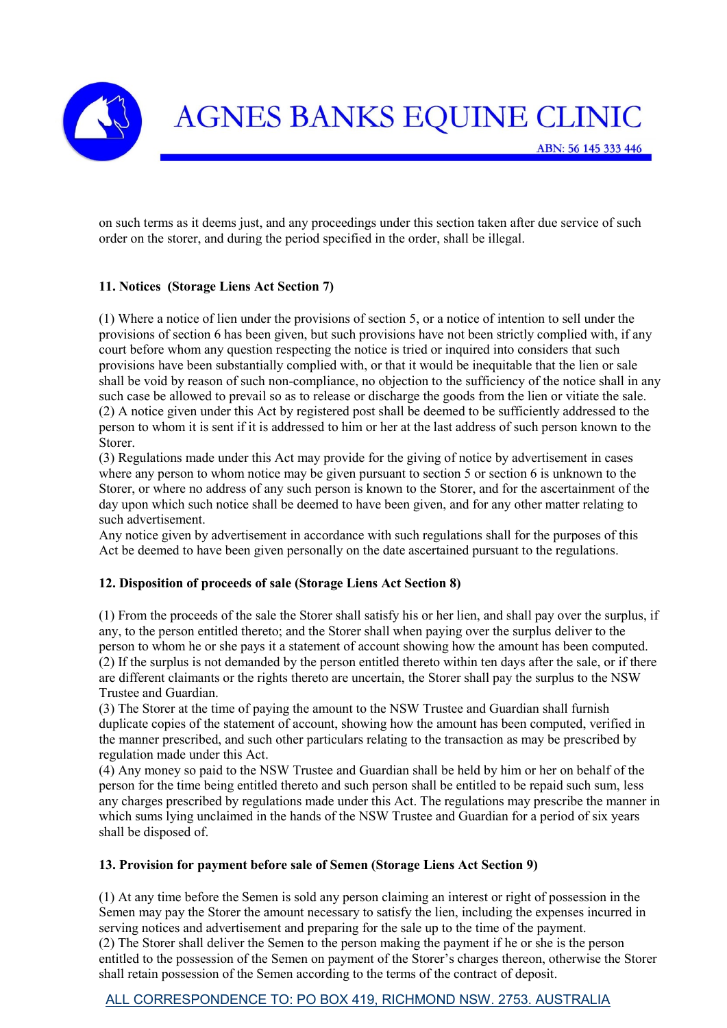

on such terms as it deems just, and any proceedings under this section taken after due service of such order on the storer, and during the period specified in the order, shall be illegal.

## **11. Notices (Storage Liens Act Section 7)**

(1) Where a notice of lien under the provisions of section 5, or a notice of intention to sell under the provisions of section 6 has been given, but such provisions have not been strictly complied with, if any court before whom any question respecting the notice is tried or inquired into considers that such provisions have been substantially complied with, or that it would be inequitable that the lien or sale shall be void by reason of such non-compliance, no objection to the sufficiency of the notice shall in any such case be allowed to prevail so as to release or discharge the goods from the lien or vitiate the sale. (2) A notice given under this Act by registered post shall be deemed to be sufficiently addressed to the person to whom it is sent if it is addressed to him or her at the last address of such person known to the Storer.

(3) Regulations made under this Act may provide for the giving of notice by advertisement in cases where any person to whom notice may be given pursuant to section 5 or section 6 is unknown to the Storer, or where no address of any such person is known to the Storer, and for the ascertainment of the day upon which such notice shall be deemed to have been given, and for any other matter relating to such advertisement.

Any notice given by advertisement in accordance with such regulations shall for the purposes of this Act be deemed to have been given personally on the date ascertained pursuant to the regulations.

#### **12. Disposition of proceeds of sale (Storage Liens Act Section 8)**

(1) From the proceeds of the sale the Storer shall satisfy his or her lien, and shall pay over the surplus, if any, to the person entitled thereto; and the Storer shall when paying over the surplus deliver to the person to whom he or she pays it a statement of account showing how the amount has been computed. (2) If the surplus is not demanded by the person entitled thereto within ten days after the sale, or if there are different claimants or the rights thereto are uncertain, the Storer shall pay the surplus to the NSW Trustee and Guardian.

(3) The Storer at the time of paying the amount to the NSW Trustee and Guardian shall furnish duplicate copies of the statement of account, showing how the amount has been computed, verified in the manner prescribed, and such other particulars relating to the transaction as may be prescribed by regulation made under this Act.

(4) Any money so paid to the NSW Trustee and Guardian shall be held by him or her on behalf of the person for the time being entitled thereto and such person shall be entitled to be repaid such sum, less any charges prescribed by regulations made under this Act. The regulations may prescribe the manner in which sums lying unclaimed in the hands of the NSW Trustee and Guardian for a period of six years shall be disposed of.

#### **13. Provision for payment before sale of Semen (Storage Liens Act Section 9)**

(1) At any time before the Semen is sold any person claiming an interest or right of possession in the Semen may pay the Storer the amount necessary to satisfy the lien, including the expenses incurred in serving notices and advertisement and preparing for the sale up to the time of the payment. (2) The Storer shall deliver the Semen to the person making the payment if he or she is the person entitled to the possession of the Semen on payment of the Storer's charges thereon, otherwise the Storer shall retain possession of the Semen according to the terms of the contract of deposit.

## ALL CORRESPONDENCE TO: PO BOX 419, RICHMOND NSW. 2753. AUSTRALIA